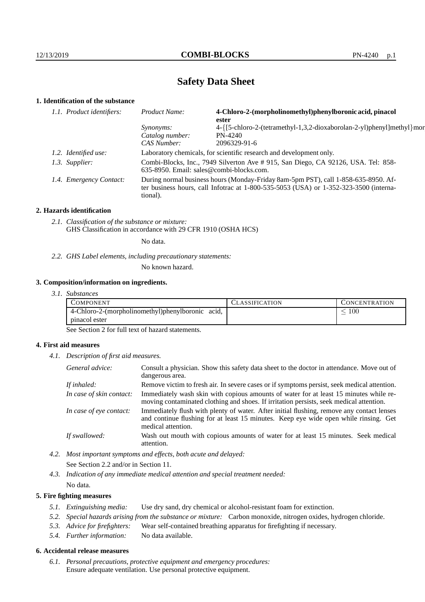# **Safety Data Sheet**

# **1. Identification of the substance**

| 1.1. Product identifiers:<br>Product Name:<br>ester |                         |                                                                                                                                                                                         | 4-Chloro-2-(morpholinomethyl)phenylboronic acid, pinacol              |  |
|-----------------------------------------------------|-------------------------|-----------------------------------------------------------------------------------------------------------------------------------------------------------------------------------------|-----------------------------------------------------------------------|--|
|                                                     |                         | <i>Synonyms:</i>                                                                                                                                                                        | 4-{[5-chloro-2-(tetramethyl-1,3,2-dioxaborolan-2-yl)phenyl]methyl}mor |  |
|                                                     |                         | Catalog number:                                                                                                                                                                         | $PN-4240$                                                             |  |
|                                                     |                         | CAS Number:                                                                                                                                                                             | 2096329-91-6                                                          |  |
|                                                     | 1.2. Identified use:    | Laboratory chemicals, for scientific research and development only.                                                                                                                     |                                                                       |  |
|                                                     | 1.3. Supplier:          | Combi-Blocks, Inc., 7949 Silverton Ave # 915, San Diego, CA 92126, USA. Tel: 858-<br>635-8950. Email: sales@combi-blocks.com.                                                           |                                                                       |  |
|                                                     | 1.4. Emergency Contact: | During normal business hours (Monday-Friday 8am-5pm PST), call 1-858-635-8950. Af-<br>ter business hours, call Infotrac at 1-800-535-5053 (USA) or 1-352-323-3500 (interna-<br>tional). |                                                                       |  |

#### **2. Hazards identification**

*2.1. Classification of the substance or mixture:* GHS Classification in accordance with 29 CFR 1910 (OSHA HCS)

No data.

*2.2. GHS Label elements, including precautionary statements:*

No known hazard.

### **3. Composition/information on ingredients.**

*3.1. Substances*

| COMPONENT                                        | '.:LASSIFICATION | <b>CONCENTRATION</b> |
|--------------------------------------------------|------------------|----------------------|
| 4-Chloro-2-(morpholinomethyl)phenylboronic acid, |                  | 100                  |
| pinacol ester                                    |                  |                      |

See Section 2 for full text of hazard statements.

### **4. First aid measures**

*4.1. Description of first aid measures.*

| General advice:          | Consult a physician. Show this safety data sheet to the doctor in attendance. Move out of<br>dangerous area.                                                                                            |
|--------------------------|---------------------------------------------------------------------------------------------------------------------------------------------------------------------------------------------------------|
| If inhaled:              | Remove victim to fresh air. In severe cases or if symptoms persist, seek medical attention.                                                                                                             |
| In case of skin contact: | Immediately wash skin with copious amounts of water for at least 15 minutes while re-<br>moving contaminated clothing and shoes. If irritation persists, seek medical attention.                        |
| In case of eye contact:  | Immediately flush with plenty of water. After initial flushing, remove any contact lenses<br>and continue flushing for at least 15 minutes. Keep eye wide open while rinsing. Get<br>medical attention. |
| If swallowed:            | Wash out mouth with copious amounts of water for at least 15 minutes. Seek medical<br>attention.                                                                                                        |

*4.2. Most important symptoms and effects, both acute and delayed:* See Section 2.2 and/or in Section 11.

*4.3. Indication of any immediate medical attention and special treatment needed:* No data.

### **5. Fire fighting measures**

- *5.1. Extinguishing media:* Use dry sand, dry chemical or alcohol-resistant foam for extinction.
- *5.2. Special hazards arising from the substance or mixture:* Carbon monoxide, nitrogen oxides, hydrogen chloride.
- *5.3. Advice for firefighters:* Wear self-contained breathing apparatus for firefighting if necessary.
- *5.4. Further information:* No data available.

### **6. Accidental release measures**

*6.1. Personal precautions, protective equipment and emergency procedures:* Ensure adequate ventilation. Use personal protective equipment.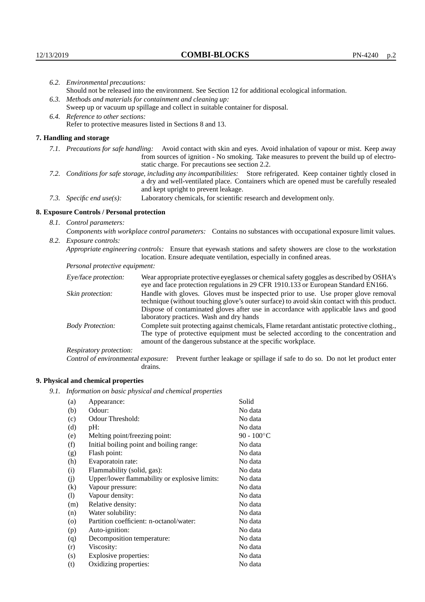|                                                                                                                                                                 | 6.2. Environmental precautions:                                                                               |                                                                                                                                                                                                                                                                                   |  |  |
|-----------------------------------------------------------------------------------------------------------------------------------------------------------------|---------------------------------------------------------------------------------------------------------------|-----------------------------------------------------------------------------------------------------------------------------------------------------------------------------------------------------------------------------------------------------------------------------------|--|--|
|                                                                                                                                                                 | Should not be released into the environment. See Section 12 for additional ecological information.            |                                                                                                                                                                                                                                                                                   |  |  |
|                                                                                                                                                                 | 6.3. Methods and materials for containment and cleaning up:                                                   |                                                                                                                                                                                                                                                                                   |  |  |
|                                                                                                                                                                 | Sweep up or vacuum up spillage and collect in suitable container for disposal.                                |                                                                                                                                                                                                                                                                                   |  |  |
|                                                                                                                                                                 | 6.4. Reference to other sections:                                                                             |                                                                                                                                                                                                                                                                                   |  |  |
|                                                                                                                                                                 |                                                                                                               | Refer to protective measures listed in Sections 8 and 13.                                                                                                                                                                                                                         |  |  |
|                                                                                                                                                                 | 7. Handling and storage                                                                                       |                                                                                                                                                                                                                                                                                   |  |  |
|                                                                                                                                                                 |                                                                                                               | 7.1. Precautions for safe handling: Avoid contact with skin and eyes. Avoid inhalation of vapour or mist. Keep away<br>from sources of ignition - No smoking. Take measures to prevent the build up of electro-<br>static charge. For precautions see section 2.2.                |  |  |
| 7.2. Conditions for safe storage, including any incompatibilities: Store refrigerated. Keep container tightly closed in<br>and kept upright to prevent leakage. |                                                                                                               | a dry and well-ventilated place. Containers which are opened must be carefully resealed                                                                                                                                                                                           |  |  |
|                                                                                                                                                                 | 7.3. Specific end use(s):                                                                                     | Laboratory chemicals, for scientific research and development only.                                                                                                                                                                                                               |  |  |
|                                                                                                                                                                 | 8. Exposure Controls / Personal protection                                                                    |                                                                                                                                                                                                                                                                                   |  |  |
|                                                                                                                                                                 | 8.1. Control parameters:                                                                                      |                                                                                                                                                                                                                                                                                   |  |  |
|                                                                                                                                                                 | Components with workplace control parameters: Contains no substances with occupational exposure limit values. |                                                                                                                                                                                                                                                                                   |  |  |
|                                                                                                                                                                 | 8.2. Exposure controls:                                                                                       |                                                                                                                                                                                                                                                                                   |  |  |
|                                                                                                                                                                 |                                                                                                               | Appropriate engineering controls: Ensure that eyewash stations and safety showers are close to the workstation<br>location. Ensure adequate ventilation, especially in confined areas.                                                                                            |  |  |
|                                                                                                                                                                 | Personal protective equipment:                                                                                |                                                                                                                                                                                                                                                                                   |  |  |
|                                                                                                                                                                 | Eye/face protection:                                                                                          | Wear appropriate protective eyeglasses or chemical safety goggles as described by OSHA's<br>eye and face protection regulations in 29 CFR 1910.133 or European Standard EN166.                                                                                                    |  |  |
|                                                                                                                                                                 | Skin protection:                                                                                              | Handle with gloves. Gloves must be inspected prior to use. Use proper glove removal<br>technique (without touching glove's outer surface) to avoid skin contact with this product.<br>Diagona of contaminated classes often and in accordance anithe configulate found and social |  |  |

## **8. Exposure Controls / Personal protection**

| Eye/face protection:               | Wear appropriate protective eyeglasses or chemical safety goggles as described by OSHA's<br>eye and face protection regulations in 29 CFR 1910.133 or European Standard EN166.                                                                                                                                         |  |
|------------------------------------|------------------------------------------------------------------------------------------------------------------------------------------------------------------------------------------------------------------------------------------------------------------------------------------------------------------------|--|
| Skin protection:                   | Handle with gloves. Gloves must be inspected prior to use. Use proper glove removal<br>technique (without touching glove's outer surface) to avoid skin contact with this product.<br>Dispose of contaminated gloves after use in accordance with applicable laws and good<br>laboratory practices. Wash and dry hands |  |
| <b>Body Protection:</b>            | Complete suit protecting against chemicals, Flame retardant antistatic protective clothing.<br>The type of protective equipment must be selected according to the concentration and<br>amount of the dangerous substance at the specific workplace.                                                                    |  |
| Respiratory protection:            |                                                                                                                                                                                                                                                                                                                        |  |
| Control of environmental exposure: | Prevent further leakage or spillage if safe to do so. Do not let product enter<br>drains.                                                                                                                                                                                                                              |  |

# **9. Physical and chemical properties**

*9.1. Information on basic physical and chemical properties*

| Appearance:                                   | Solid                 |
|-----------------------------------------------|-----------------------|
| Odour:                                        | No data               |
| Odour Threshold:                              | No data               |
| $pH$ :                                        | No data               |
| Melting point/freezing point:                 | 90 - $100^{\circ}$ C  |
| Initial boiling point and boiling range:      | No data               |
| Flash point:                                  | No data               |
| Evaporatoin rate:                             | No data               |
| Flammability (solid, gas):                    | No data               |
| Upper/lower flammability or explosive limits: | No data               |
| Vapour pressure:                              | No data               |
| Vapour density:                               | No data               |
| Relative density:                             | No data               |
| Water solubility:                             | No data               |
| Partition coefficient: n-octanol/water:       | No data               |
| Auto-ignition:                                | No data               |
| Decomposition temperature:                    | No data               |
| Viscosity:                                    | No data               |
|                                               | No data               |
| Oxidizing properties:                         | No data               |
|                                               | Explosive properties: |